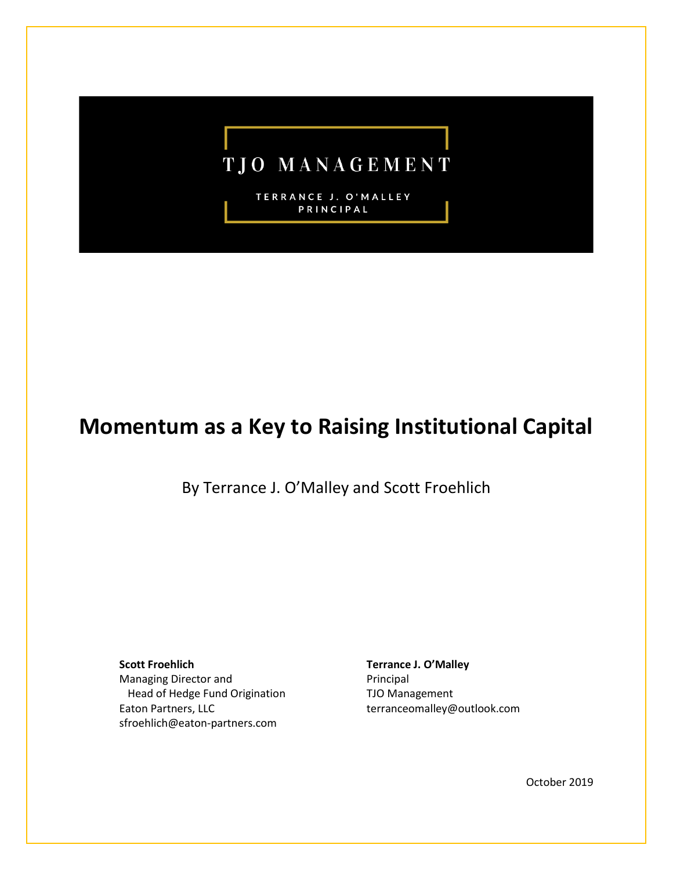## **TJO MANAGEMENT**

TERRANCE J. O'MALLEY PRINCIPAL

## **Momentum as a Key to Raising Institutional Capital**

By Terrance J. O'Malley and Scott Froehlich

**Scott Froehlich** Managing Director and Head of Hedge Fund Origination Eaton Partners, LLC sfroehlich@eaton-partners.com

**Terrance J. O'Malley** Principal TJO Management terranceomalley@outlook.com

October 2019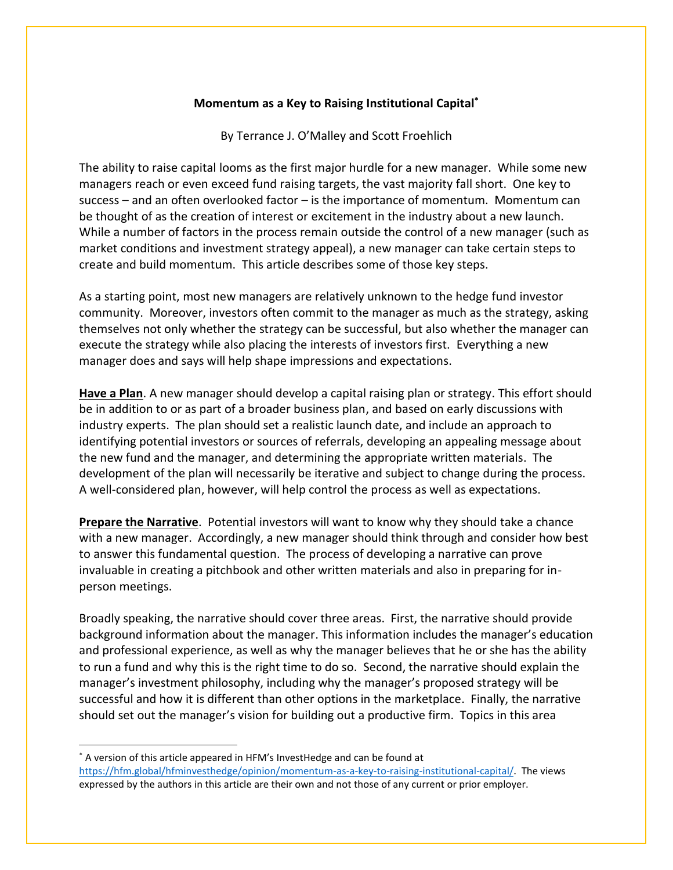## **Momentum as a Key to Raising Institutional Capital\***

By Terrance J. O'Malley and Scott Froehlich

The ability to raise capital looms as the first major hurdle for a new manager. While some new managers reach or even exceed fund raising targets, the vast majority fall short. One key to success – and an often overlooked factor – is the importance of momentum. Momentum can be thought of as the creation of interest or excitement in the industry about a new launch. While a number of factors in the process remain outside the control of a new manager (such as market conditions and investment strategy appeal), a new manager can take certain steps to create and build momentum. This article describes some of those key steps.

As a starting point, most new managers are relatively unknown to the hedge fund investor community. Moreover, investors often commit to the manager as much as the strategy, asking themselves not only whether the strategy can be successful, but also whether the manager can execute the strategy while also placing the interests of investors first. Everything a new manager does and says will help shape impressions and expectations.

**Have a Plan**. A new manager should develop a capital raising plan or strategy. This effort should be in addition to or as part of a broader business plan, and based on early discussions with industry experts. The plan should set a realistic launch date, and include an approach to identifying potential investors or sources of referrals, developing an appealing message about the new fund and the manager, and determining the appropriate written materials. The development of the plan will necessarily be iterative and subject to change during the process. A well-considered plan, however, will help control the process as well as expectations.

**Prepare the Narrative**. Potential investors will want to know why they should take a chance with a new manager. Accordingly, a new manager should think through and consider how best to answer this fundamental question. The process of developing a narrative can prove invaluable in creating a pitchbook and other written materials and also in preparing for inperson meetings.

Broadly speaking, the narrative should cover three areas. First, the narrative should provide background information about the manager. This information includes the manager's education and professional experience, as well as why the manager believes that he or she has the ability to run a fund and why this is the right time to do so. Second, the narrative should explain the manager's investment philosophy, including why the manager's proposed strategy will be successful and how it is different than other options in the marketplace. Finally, the narrative should set out the manager's vision for building out a productive firm. Topics in this area

<sup>\*</sup> A version of this article appeared in HFM's InvestHedge and can be found at [https://hfm.global/hfminvesthedge/opinion/momentum-as-a-key-to-raising-institutional-capital/.](https://hfm.global/hfminvesthedge/opinion/momentum-as-a-key-to-raising-institutional-capital/) The views expressed by the authors in this article are their own and not those of any current or prior employer.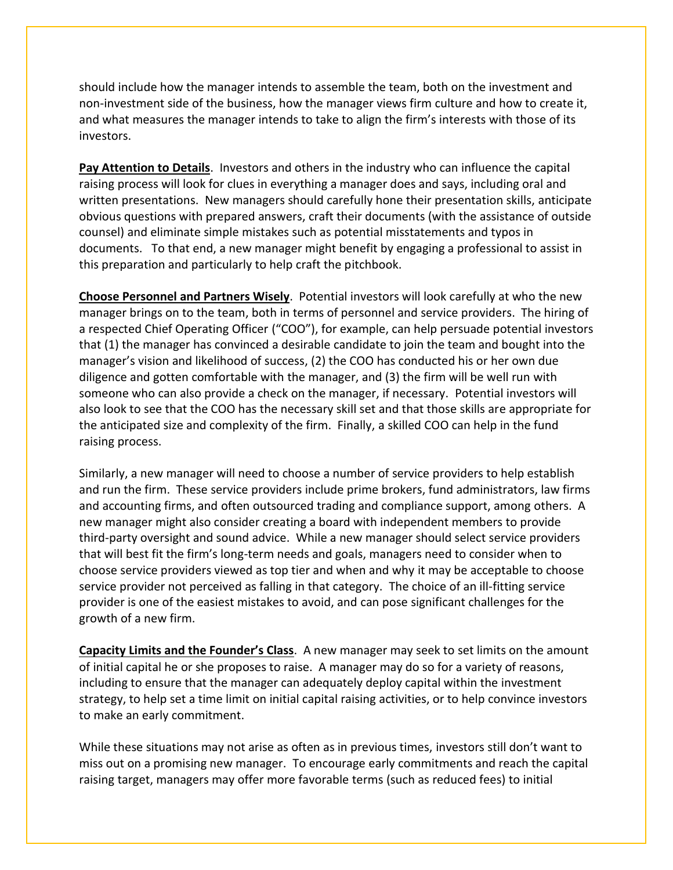should include how the manager intends to assemble the team, both on the investment and non-investment side of the business, how the manager views firm culture and how to create it, and what measures the manager intends to take to align the firm's interests with those of its investors.

**Pay Attention to Details**. Investors and others in the industry who can influence the capital raising process will look for clues in everything a manager does and says, including oral and written presentations. New managers should carefully hone their presentation skills, anticipate obvious questions with prepared answers, craft their documents (with the assistance of outside counsel) and eliminate simple mistakes such as potential misstatements and typos in documents. To that end, a new manager might benefit by engaging a professional to assist in this preparation and particularly to help craft the pitchbook.

**Choose Personnel and Partners Wisely**. Potential investors will look carefully at who the new manager brings on to the team, both in terms of personnel and service providers. The hiring of a respected Chief Operating Officer ("COO"), for example, can help persuade potential investors that (1) the manager has convinced a desirable candidate to join the team and bought into the manager's vision and likelihood of success, (2) the COO has conducted his or her own due diligence and gotten comfortable with the manager, and (3) the firm will be well run with someone who can also provide a check on the manager, if necessary. Potential investors will also look to see that the COO has the necessary skill set and that those skills are appropriate for the anticipated size and complexity of the firm. Finally, a skilled COO can help in the fund raising process.

Similarly, a new manager will need to choose a number of service providers to help establish and run the firm. These service providers include prime brokers, fund administrators, law firms and accounting firms, and often outsourced trading and compliance support, among others. A new manager might also consider creating a board with independent members to provide third-party oversight and sound advice. While a new manager should select service providers that will best fit the firm's long-term needs and goals, managers need to consider when to choose service providers viewed as top tier and when and why it may be acceptable to choose service provider not perceived as falling in that category. The choice of an ill-fitting service provider is one of the easiest mistakes to avoid, and can pose significant challenges for the growth of a new firm.

**Capacity Limits and the Founder's Class**. A new manager may seek to set limits on the amount of initial capital he or she proposes to raise. A manager may do so for a variety of reasons, including to ensure that the manager can adequately deploy capital within the investment strategy, to help set a time limit on initial capital raising activities, or to help convince investors to make an early commitment.

While these situations may not arise as often as in previous times, investors still don't want to miss out on a promising new manager. To encourage early commitments and reach the capital raising target, managers may offer more favorable terms (such as reduced fees) to initial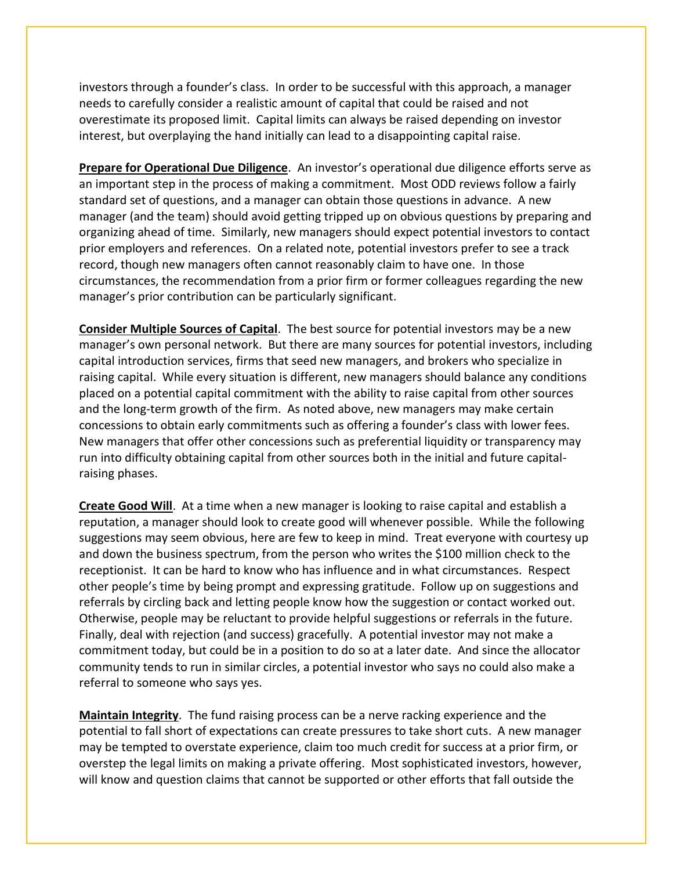investors through a founder's class. In order to be successful with this approach, a manager needs to carefully consider a realistic amount of capital that could be raised and not overestimate its proposed limit. Capital limits can always be raised depending on investor interest, but overplaying the hand initially can lead to a disappointing capital raise.

**Prepare for Operational Due Diligence**. An investor's operational due diligence efforts serve as an important step in the process of making a commitment. Most ODD reviews follow a fairly standard set of questions, and a manager can obtain those questions in advance. A new manager (and the team) should avoid getting tripped up on obvious questions by preparing and organizing ahead of time. Similarly, new managers should expect potential investors to contact prior employers and references. On a related note, potential investors prefer to see a track record, though new managers often cannot reasonably claim to have one. In those circumstances, the recommendation from a prior firm or former colleagues regarding the new manager's prior contribution can be particularly significant.

**Consider Multiple Sources of Capital**. The best source for potential investors may be a new manager's own personal network. But there are many sources for potential investors, including capital introduction services, firms that seed new managers, and brokers who specialize in raising capital. While every situation is different, new managers should balance any conditions placed on a potential capital commitment with the ability to raise capital from other sources and the long-term growth of the firm. As noted above, new managers may make certain concessions to obtain early commitments such as offering a founder's class with lower fees. New managers that offer other concessions such as preferential liquidity or transparency may run into difficulty obtaining capital from other sources both in the initial and future capitalraising phases.

**Create Good Will**. At a time when a new manager is looking to raise capital and establish a reputation, a manager should look to create good will whenever possible. While the following suggestions may seem obvious, here are few to keep in mind. Treat everyone with courtesy up and down the business spectrum, from the person who writes the \$100 million check to the receptionist. It can be hard to know who has influence and in what circumstances. Respect other people's time by being prompt and expressing gratitude. Follow up on suggestions and referrals by circling back and letting people know how the suggestion or contact worked out. Otherwise, people may be reluctant to provide helpful suggestions or referrals in the future. Finally, deal with rejection (and success) gracefully. A potential investor may not make a commitment today, but could be in a position to do so at a later date. And since the allocator community tends to run in similar circles, a potential investor who says no could also make a referral to someone who says yes.

**Maintain Integrity**. The fund raising process can be a nerve racking experience and the potential to fall short of expectations can create pressures to take short cuts. A new manager may be tempted to overstate experience, claim too much credit for success at a prior firm, or overstep the legal limits on making a private offering. Most sophisticated investors, however, will know and question claims that cannot be supported or other efforts that fall outside the